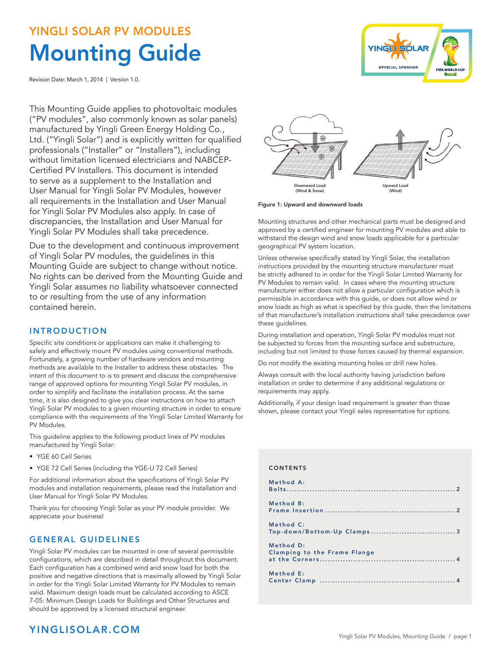# YINGLI SOLAR PV MODULES Mounting Guide

Revision Date: March 1, 2014 | Version 1.0.

This Mounting Guide applies to photovoltaic modules ("PV modules", also commonly known as solar panels) manufactured by Yingli Green Energy Holding Co., Ltd. ("Yingli Solar") and is explicitly written for qualified professionals ("Installer" or "Installers"), including without limitation licensed electricians and NABCEP-Certified PV Installers. This document is intended to serve as a supplement to the Installation and User Manual for Yingli Solar PV Modules, however all requirements in the Installation and User Manual for Yingli Solar PV Modules also apply. In case of discrepancies, the Installation and User Manual for Yingli Solar PV Modules shall take precedence.

Due to the development and continuous improvement of Yingli Solar PV modules, the guidelines in this Mounting Guide are subject to change without notice. No rights can be derived from the Mounting Guide and Yingli Solar assumes no liability whatsoever connected to or resulting from the use of any information contained herein.

# INTRODUCTION

Specific site conditions or applications can make it challenging to safely and effectively mount PV modules using conventional methods. Fortunately, a growing number of hardware vendors and mounting methods are available to the Installer to address these obstacles. The intent of this document to is to present and discuss the comprehensive range of approved options for mounting Yingli Solar PV modules, in order to simplify and facilitate the installation process. At the same time, it is also designed to give you clear instructions on how to attach Yingli Solar PV modules to a given mounting structure in order to ensure compliance with the requirements of the Yingli Solar Limited Warranty for PV Modules.

This guideline applies to the following product lines of PV modules manufactured by Yingli Solar:

- YGE 60 Cell Series
- YGE 72 Cell Series (including the YGE-U 72 Cell Series)

For additional information about the specifications of Yingli Solar PV modules and installation requirements, please read the Installation and User Manual for Yingli Solar PV Modules.

Thank you for choosing Yingli Solar as your PV module provider. We appreciate your business!

## GENERAL GUIDELINES

Yingli Solar PV modules can be mounted in one of several permissible configurations, which are described in detail throughout this document. Each configuration has a combined wind and snow load for both the positive and negative directions that is maximally allowed by Yingli Solar in order for the Yingli Solar Limited Warranty for PV Modules to remain valid. Maximum design loads must be calculated according to ASCE 7-05: Minimum Design Loads for Buildings and Other Structures and should be approved by a licensed structural engineer.

# 柴 碟 Downward Load Upward Load (Wind)

**YINGLI SOLAR** 

**OFFICIAL SPONSOR** 

FIFA WORLD CU<br>**Brasil** 

Figure 1: Upward and downward loads (Wind & Snow)

Mounting structures and other mechanical parts must be designed and approved by a certified engineer for mounting PV modules and able to withstand the design wind and snow loads applicable for a particular geographical PV system location.

Unless otherwise specifically stated by Yingli Solar, the installation instructions provided by the mounting structure manufacturer must be strictly adhered to in order for the Yingli Solar Limited Warranty for PV Modules to remain valid. In cases where the mounting structure manufacturer either does not allow a particular configuration which is permissible in accordance with this guide, or does not allow wind or snow loads as high as what is specified by this guide, then the limitations of that manufacturer's installation instructions shall take precedence over these guidelines.

During installation and operation, Yingli Solar PV modules must not be subjected to forces from the mounting surface and substructure, including but not limited to those forces caused by thermal expansion.

Do not modify the existing mounting holes or drill new holes.

Always consult with the local authority having jurisdiction before installation in order to determine if any additional regulations or requirements may apply.

Additionally, if your design load requirement is greater than those shown, please contact your Yingli sales representative for options.

### CONTENTS

| Method A:                                 |
|-------------------------------------------|
| Method B:                                 |
| Method C:                                 |
| Method D:<br>Clamping to the Frame Flange |
| Method E:                                 |

# YINGLISOLAR.COM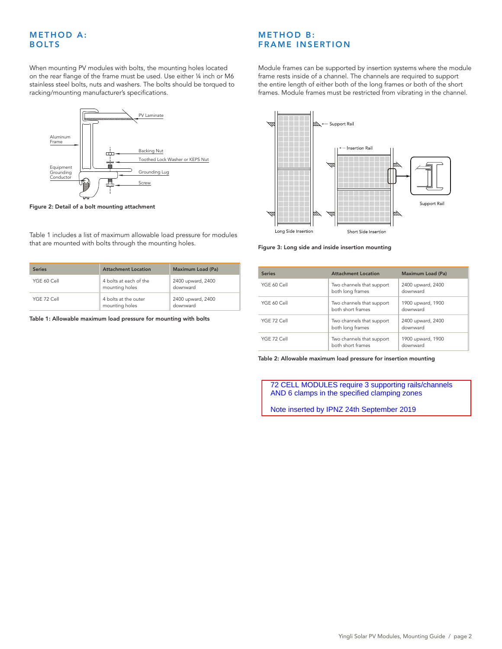# <span id="page-1-0"></span>**METHOD A:** BOLTS

When mounting PV modules with bolts, the mounting holes located on the rear flange of the frame must be used. Use either ¼ inch or M6 stainless steel bolts, nuts and washers. The bolts should be torqued to racking/mounting manufacturer's specifications.



Figure 2: Detail of a bolt mounting attachment

Table 1 includes a list of maximum allowable load pressure for modules that are mounted with bolts through the mounting holes.

| <b>Series</b> | <b>Attachment Location</b>               | Maximum Load (Pa)             |
|---------------|------------------------------------------|-------------------------------|
| YGE 60 Cell   | 4 bolts at each of the<br>mounting holes | 2400 upward, 2400<br>downward |
| YGF 72 Cell   | 4 bolts at the outer<br>mounting holes   | 2400 upward, 2400<br>downward |

Table 1: Allowable maximum load pressure for mounting with bolts

# **METHOD B:** FRAME INSERTION

Module frames can be supported by insertion systems where the module frame rests inside of a channel. The channels are required to support the entire length of either both of the long frames or both of the short frames. Module frames must be restricted from vibrating in the channel.



Figure 3: Long side and inside insertion mounting

| <b>Series</b> | <b>Attachment Location</b>                     | Maximum Load (Pa)             |
|---------------|------------------------------------------------|-------------------------------|
| YGE 60 Cell   | Two channels that support<br>both long frames  | 2400 upward, 2400<br>downward |
| YGE 60 Cell   | Two channels that support<br>both short frames | 1900 upward, 1900<br>downward |
| YGF 72 Cell   | Two channels that support<br>both long frames  | 2400 upward, 2400<br>downward |
| YGF 72 Cell   | Two channels that support<br>both short frames | 1900 upward, 1900<br>downward |

Table 2: Allowable maximum load pressure for insertion mounting

 72 CELL MODULES require 3 supporting rails/channels AND 6 clamps in the specified clamping zones

Note inserted by IPNZ 24th September 2019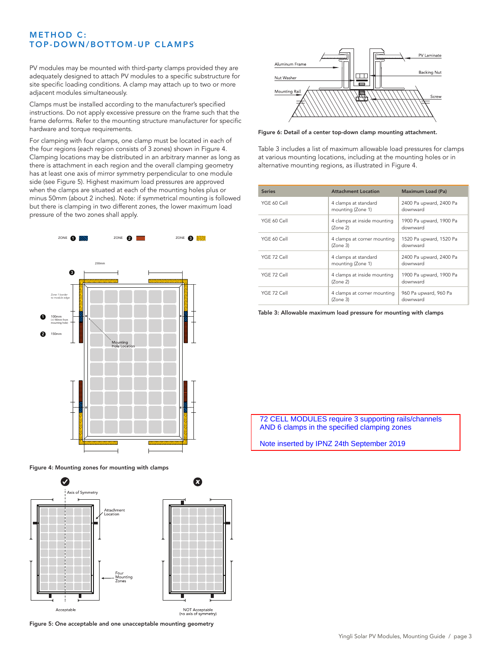# <span id="page-2-0"></span>**METHOD C:** TOP-DOWN/BOTTOM-UP CLAMPS

PV modules may be mounted with third-party clamps provided they are adequately designed to attach PV modules to a specific substructure for site specific loading conditions. A clamp may attach up to two or more adjacent modules simultaneously.

Clamps must be installed according to the manufacturer's specified instructions. Do not apply excessive pressure on the frame such that the frame deforms. Refer to the mounting structure manufacturer for specific hardware and torque requirements.

For clamping with four clamps, one clamp must be located in each of the four regions (each region consists of 3 zones) shown in Figure 4. Clamping locations may be distributed in an arbitrary manner as long as there is attachment in each region and the overall clamping geometry has at least one axis of mirror symmetry perpendicular to one module side (see Figure 5). Highest maximum load pressures are approved when the clamps are situated at each of the mounting holes plus or minus 50mm (about 2 inches). Note: if symmetrical mounting is followed but there is clamping in two different zones, the lower maximum load pressure of the two zones shall apply.



Figure 4: Mounting zones for mounting with clamps



Figure 5: One acceptable and one unacceptable mounting geometry



Figure 6: Detail of a center top-down clamp mounting attachment.

Table 3 includes a list of maximum allowable load pressures for clamps at various mounting locations, including at the mounting holes or in alternative mounting regions, as illustrated in Figure 4.

| <b>Series</b> | <b>Attachment Location</b>                | Maximum Load (Pa)                   |
|---------------|-------------------------------------------|-------------------------------------|
| YGE 60 Cell   | 4 clamps at standard<br>mounting (Zone 1) | 2400 Pa upward, 2400 Pa<br>downward |
| YGE 60 Cell   | 4 clamps at inside mounting<br>(Zone 2)   | 1900 Pa upward, 1900 Pa<br>downward |
| YGE 60 Cell   | 4 clamps at corner mounting<br>(Zone 3)   | 1520 Pa upward, 1520 Pa<br>downward |
| YGF 72 Cell   | 4 clamps at standard<br>mounting (Zone 1) | 2400 Pa upward, 2400 Pa<br>downward |
| YGF 72 Cell   | 4 clamps at inside mounting<br>(Zone 2)   | 1900 Pa upward, 1900 Pa<br>downward |
| YGF 72 Cell   | 4 clamps at corner mounting<br>(Zone 3)   | 960 Pa upward, 960 Pa<br>downward   |

Table 3: Allowable maximum load pressure for mounting with clamps

 72 CELL MODULES require 3 supporting rails/channels AND 6 clamps in the specified clamping zones

Note inserted by IPNZ 24th September 2019